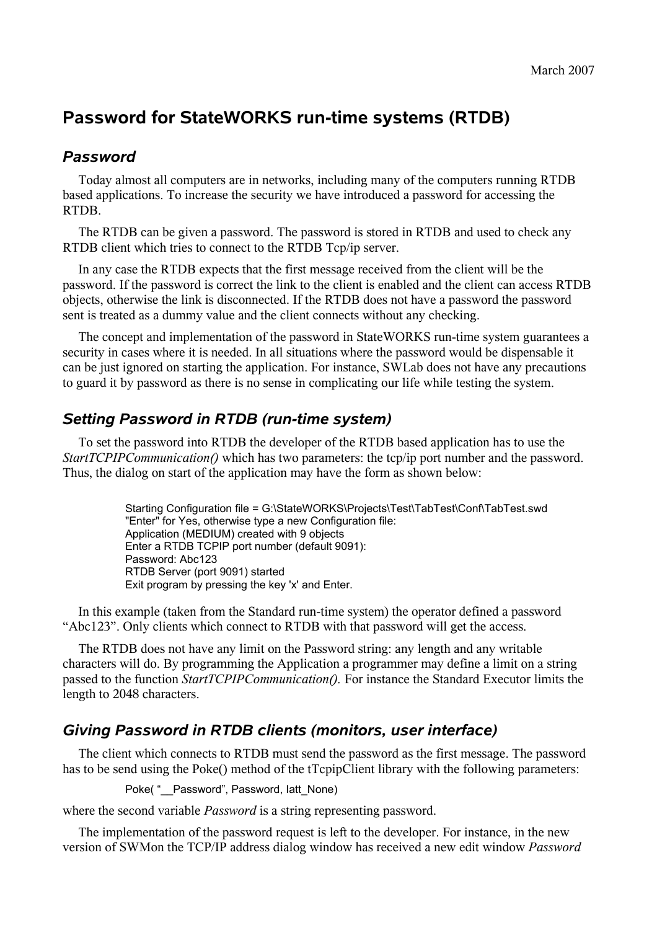# **Password for StateWORKS run-time systems (RTDB)**

#### *Password*

Today almost all computers are in networks, including many of the computers running RTDB based applications. To increase the security we have introduced a password for accessing the RTDB.

The RTDB can be given a password. The password is stored in RTDB and used to check any RTDB client which tries to connect to the RTDB Tcp/ip server.

In any case the RTDB expects that the first message received from the client will be the password. If the password is correct the link to the client is enabled and the client can access RTDB objects, otherwise the link is disconnected. If the RTDB does not have a password the password sent is treated as a dummy value and the client connects without any checking.

The concept and implementation of the password in StateWORKS run-time system guarantees a security in cases where it is needed. In all situations where the password would be dispensable it can be just ignored on starting the application. For instance, SWLab does not have any precautions to guard it by password as there is no sense in complicating our life while testing the system.

# *Setting Password in RTDB (run-time system)*

To set the password into RTDB the developer of the RTDB based application has to use the *StartTCPIPCommunication()* which has two parameters: the tcp/ip port number and the password. Thus, the dialog on start of the application may have the form as shown below:

> Starting Configuration file = G:\StateWORKS\Projects\Test\TabTest\Conf\TabTest.swd "Enter" for Yes, otherwise type a new Configuration file: Application (MEDIUM) created with 9 objects Enter a RTDB TCPIP port number (default 9091): Password: Abc123 RTDB Server (port 9091) started Exit program by pressing the key 'x' and Enter.

In this example (taken from the Standard run-time system) the operator defined a password "Abc123". Only clients which connect to RTDB with that password will get the access.

The RTDB does not have any limit on the Password string: any length and any writable characters will do. By programming the Application a programmer may define a limit on a string passed to the function *StartTCPIPCommunication().* For instance the Standard Executor limits the length to 2048 characters.

## *Giving Password in RTDB clients (monitors, user interface)*

The client which connects to RTDB must send the password as the first message. The password has to be send using the Poke() method of the tTcpipClient library with the following parameters:

Poke( " Password", Password, latt\_None)

where the second variable *Password* is a string representing password.

The implementation of the password request is left to the developer. For instance, in the new version of SWMon the TCP/IP address dialog window has received a new edit window *Password*